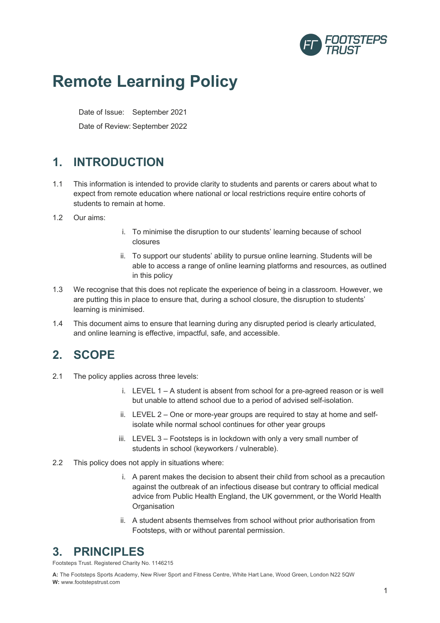

# **Remote Learning Policy**

Date of Issue: September 2021

Date of Review: September 2022

# **1. INTRODUCTION**

- 1.1 This information is intended to provide clarity to students and parents or carers about what to expect from remote education where national or local restrictions require entire cohorts of students to remain at home.
- 1.2 Our aims:
- i. To minimise the disruption to our students' learning because of school closures
- ii. To support our students' ability to pursue online learning. Students will be able to access a range of online learning platforms and resources, as outlined in this policy
- 1.3 We recognise that this does not replicate the experience of being in a classroom. However, we are putting this in place to ensure that, during a school closure, the disruption to students' learning is minimised.
- 1.4 This document aims to ensure that learning during any disrupted period is clearly articulated, and online learning is effective, impactful, safe, and accessible.

# **2. SCOPE**

- 2.1 The policy applies across three levels:
	- i. LEVEL 1 A student is absent from school for a pre-agreed reason or is well but unable to attend school due to a period of advised self-isolation.
	- ii. LEVEL 2 One or more-year groups are required to stay at home and selfisolate while normal school continues for other year groups
	- iii. LEVEL 3 Footsteps is in lockdown with only a very small number of students in school (keyworkers / vulnerable).
- 2.2 This policy does not apply in situations where:
	- i. A parent makes the decision to absent their child from school as a precaution against the outbreak of an infectious disease but contrary to official medical advice from Public Health England, the UK government, or the World Health **Organisation**
	- ii. A student absents themselves from school without prior authorisation from Footsteps, with or without parental permission.

# **3. PRINCIPLES**

Footsteps Trust. Registered Charity No. 1146215

**A:** The Footsteps Sports Academy, New River Sport and Fitness Centre, White Hart Lane, Wood Green, London N22 5QW **W:** www.footstepstrust.com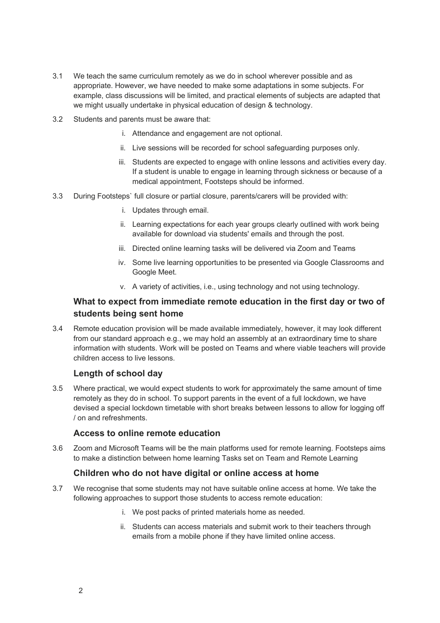- 3.1 We teach the same curriculum remotely as we do in school wherever possible and as appropriate. However, we have needed to make some adaptations in some subjects. For example, class discussions will be limited, and practical elements of subjects are adapted that we might usually undertake in physical education of design & technology.
- 3.2 Students and parents must be aware that:
	- i. Attendance and engagement are not optional.
	- ii. Live sessions will be recorded for school safeguarding purposes only.
	- iii. Students are expected to engage with online lessons and activities every day. If a student is unable to engage in learning through sickness or because of a medical appointment, Footsteps should be informed.
- 3.3 During Footsteps` full closure or partial closure, parents/carers will be provided with:
	- i. Updates through email.
	- ii. Learning expectations for each year groups clearly outlined with work being available for download via students' emails and through the post.
	- iii. Directed online learning tasks will be delivered via Zoom and Teams
	- iv. Some live learning opportunities to be presented via Google Classrooms and Google Meet.
	- v. A variety of activities, i.e., using technology and not using technology.

### **What to expect from immediate remote education in the first day or two of students being sent home**

3.4 Remote education provision will be made available immediately, however, it may look different from our standard approach e.g., we may hold an assembly at an extraordinary time to share information with students. Work will be posted on Teams and where viable teachers will provide children access to live lessons.

### **Length of school day**

3.5 Where practical, we would expect students to work for approximately the same amount of time remotely as they do in school. To support parents in the event of a full lockdown, we have devised a special lockdown timetable with short breaks between lessons to allow for logging off / on and refreshments.

### **Access to online remote education**

3.6 Zoom and Microsoft Teams will be the main platforms used for remote learning. Footsteps aims to make a distinction between home learning Tasks set on Team and Remote Learning

### **Children who do not have digital or online access at home**

- 3.7 We recognise that some students may not have suitable online access at home. We take the following approaches to support those students to access remote education:
	- i. We post packs of printed materials home as needed.
	- ii. Students can access materials and submit work to their teachers through emails from a mobile phone if they have limited online access.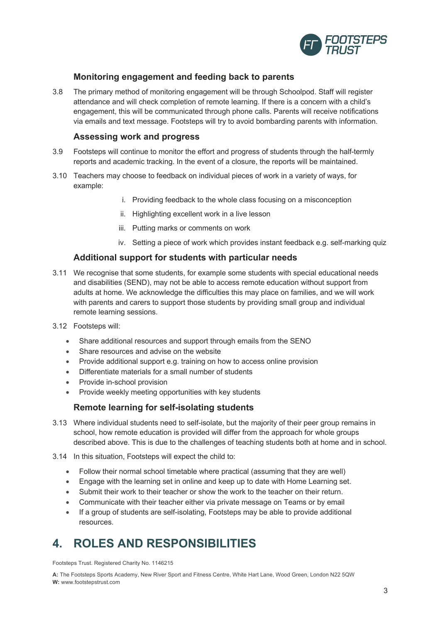

### **Monitoring engagement and feeding back to parents**

3.8 The primary method of monitoring engagement will be through Schoolpod. Staff will register attendance and will check completion of remote learning. If there is a concern with a child's engagement, this will be communicated through phone calls. Parents will receive notifications via emails and text message. Footsteps will try to avoid bombarding parents with information.

#### **Assessing work and progress**

- 3.9 Footsteps will continue to monitor the effort and progress of students through the half-termly reports and academic tracking. In the event of a closure, the reports will be maintained.
- 3.10 Teachers may choose to feedback on individual pieces of work in a variety of ways, for example:
	- i. Providing feedback to the whole class focusing on a misconception
	- ii. Highlighting excellent work in a live lesson
	- iii. Putting marks or comments on work
	- iv. Setting a piece of work which provides instant feedback e.g. self-marking quiz

#### **Additional support for students with particular needs**

- 3.11 We recognise that some students, for example some students with special educational needs and disabilities (SEND), may not be able to access remote education without support from adults at home. We acknowledge the difficulties this may place on families, and we will work with parents and carers to support those students by providing small group and individual remote learning sessions.
- 3.12 Footsteps will:
	- Share additional resources and support through emails from the SENO
	- Share resources and advise on the website
	- Provide additional support e.g. training on how to access online provision
	- Differentiate materials for a small number of students
	- Provide in-school provision
	- Provide weekly meeting opportunities with key students

### **Remote learning for self-isolating students**

- 3.13 Where individual students need to self-isolate, but the majority of their peer group remains in school, how remote education is provided will differ from the approach for whole groups described above. This is due to the challenges of teaching students both at home and in school.
- 3.14 In this situation, Footsteps will expect the child to:
	- Follow their normal school timetable where practical (assuming that they are well)
	- Engage with the learning set in online and keep up to date with Home Learning set.
	- Submit their work to their teacher or show the work to the teacher on their return.
	- Communicate with their teacher either via private message on Teams or by email
	- If a group of students are self-isolating, Footsteps may be able to provide additional resources.

# **4. ROLES AND RESPONSIBILITIES**

Footsteps Trust. Registered Charity No. 1146215

**A:** The Footsteps Sports Academy, New River Sport and Fitness Centre, White Hart Lane, Wood Green, London N22 5QW **W:** www.footstepstrust.com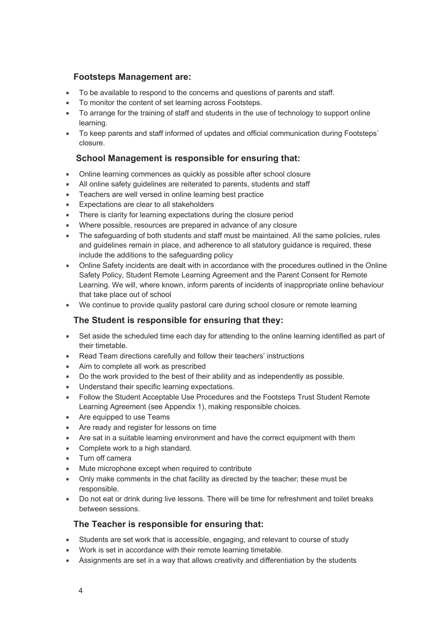### **Footsteps Management are:**

- To be available to respond to the concerns and questions of parents and staff.
- To monitor the content of set learning across Footsteps.
- To arrange for the training of staff and students in the use of technology to support online learning.
- To keep parents and staff informed of updates and official communication during Footsteps` closure.

# **School Management is responsible for ensuring that:**

- Online learning commences as quickly as possible after school closure
- All online safety guidelines are reiterated to parents, students and staff
- Teachers are well versed in online learning best practice
- Expectations are clear to all stakeholders
- There is clarity for learning expectations during the closure period
- Where possible, resources are prepared in advance of any closure
- The safeguarding of both students and staff must be maintained. All the same policies, rules and guidelines remain in place, and adherence to all statutory guidance is required, these include the additions to the safeguarding policy
- Online Safety incidents are dealt with in accordance with the procedures outlined in the Online Safety Policy, Student Remote Learning Agreement and the Parent Consent for Remote Learning. We will, where known, inform parents of incidents of inappropriate online behaviour that take place out of school
- We continue to provide quality pastoral care during school closure or remote learning

# **The Student is responsible for ensuring that they:**

- Set aside the scheduled time each day for attending to the online learning identified as part of their timetable.
- Read Team directions carefully and follow their teachers' instructions
- Aim to complete all work as prescribed
- Do the work provided to the best of their ability and as independently as possible.
- Understand their specific learning expectations.
- Follow the Student Acceptable Use Procedures and the Footsteps Trust Student Remote Learning Agreement (see Appendix 1), making responsible choices.
- Are equipped to use Teams
- Are ready and register for lessons on time
- Are sat in a suitable learning environment and have the correct equipment with them
- Complete work to a high standard.
- Turn off camera
- Mute microphone except when required to contribute
- Only make comments in the chat facility as directed by the teacher; these must be responsible.
- Do not eat or drink during live lessons. There will be time for refreshment and toilet breaks between sessions.

# **The Teacher is responsible for ensuring that:**

- Students are set work that is accessible, engaging, and relevant to course of study
- Work is set in accordance with their remote learning timetable.
- Assignments are set in a way that allows creativity and differentiation by the students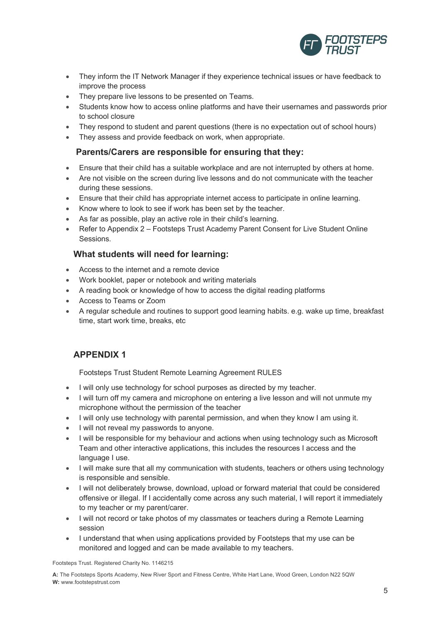

- They inform the IT Network Manager if they experience technical issues or have feedback to improve the process
- They prepare live lessons to be presented on Teams.
- Students know how to access online platforms and have their usernames and passwords prior to school closure
- They respond to student and parent questions (there is no expectation out of school hours)
- They assess and provide feedback on work, when appropriate.

### **Parents/Carers are responsible for ensuring that they:**

- Ensure that their child has a suitable workplace and are not interrupted by others at home.
- Are not visible on the screen during live lessons and do not communicate with the teacher during these sessions.
- Ensure that their child has appropriate internet access to participate in online learning.
- Know where to look to see if work has been set by the teacher.
- As far as possible, play an active role in their child's learning.
- Refer to Appendix 2 Footsteps Trust Academy Parent Consent for Live Student Online Sessions.

### **What students will need for learning:**

- Access to the internet and a remote device
- Work booklet, paper or notebook and writing materials
- A reading book or knowledge of how to access the digital reading platforms
- Access to Teams or Zoom
- A regular schedule and routines to support good learning habits. e.g. wake up time, breakfast time, start work time, breaks, etc

# **APPENDIX 1**

Footsteps Trust Student Remote Learning Agreement RULES

- I will only use technology for school purposes as directed by my teacher.
- I will turn off my camera and microphone on entering a live lesson and will not unmute my microphone without the permission of the teacher
- I will only use technology with parental permission, and when they know I am using it.
- I will not reveal my passwords to anyone.
- I will be responsible for my behaviour and actions when using technology such as Microsoft Team and other interactive applications, this includes the resources I access and the language I use.
- I will make sure that all my communication with students, teachers or others using technology is responsible and sensible.
- I will not deliberately browse, download, upload or forward material that could be considered offensive or illegal. If I accidentally come across any such material, I will report it immediately to my teacher or my parent/carer.
- I will not record or take photos of my classmates or teachers during a Remote Learning session
- I understand that when using applications provided by Footsteps that my use can be monitored and logged and can be made available to my teachers.

Footsteps Trust. Registered Charity No. 1146215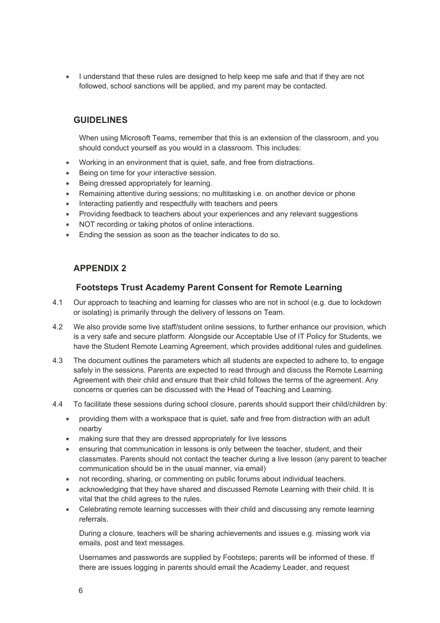• I understand that these rules are designed to help keep me safe and that if they are not followed, school sanctions will be applied, and my parent may be contacted.

### **GUIDELINES**

When using Microsoft Teams, remember that this is an extension of the classroom, and you should conduct yourself as you would in a classroom. This includes:

- Working in an environment that is quiet, safe, and free from distractions.
- Being on time for your interactive session.
- Being dressed appropriately for learning.
- Remaining attentive during sessions; no multitasking i.e. on another device or phone
- Interacting patiently and respectfully with teachers and peers
- Providing feedback to teachers about your experiences and any relevant suggestions
- NOT recording or taking photos of online interactions.
- Ending the session as soon as the teacher indicates to do so.

### **APPENDIX 2**

#### **Footsteps Trust Academy Parent Consent for Remote Learning**

- 4.1 Our approach to teaching and learning for classes who are not in school (e.g. due to lockdown or isolating) is primarily through the delivery of lessons on Team.
- 4.2 We also provide some live staff/student online sessions, to further enhance our provision, which is a very safe and secure platform. Alongside our Acceptable Use of IT Policy for Students, we have the Student Remote Learning Agreement, which provides additional rules and guidelines.
- 4.3 The document outlines the parameters which all students are expected to adhere to, to engage safely in the sessions. Parents are expected to read through and discuss the Remote Learning Agreement with their child and ensure that their child follows the terms of the agreement. Any concerns or queries can be discussed with the Head of Teaching and Learning.
- 4.4 To facilitate these sessions during school closure, parents should support their child/children by:
	- providing them with a workspace that is quiet, safe and free from distraction with an adult nearby
	- making sure that they are dressed appropriately for live lessons
	- ensuring that communication in lessons is only between the teacher, student, and their classmates. Parents should not contact the teacher during a live lesson (any parent to teacher communication should be in the usual manner, via email)
	- not recording, sharing, or commenting on public forums about individual teachers.
	- acknowledging that they have shared and discussed Remote Learning with their child. It is vital that the child agrees to the rules.
	- Celebrating remote learning successes with their child and discussing any remote learning referrals.

During a closure, teachers will be sharing achievements and issues e.g. missing work via emails, post and text messages.

Usernames and passwords are supplied by Footsteps; parents will be informed of these. If there are issues logging in parents should email the Academy Leader, and request